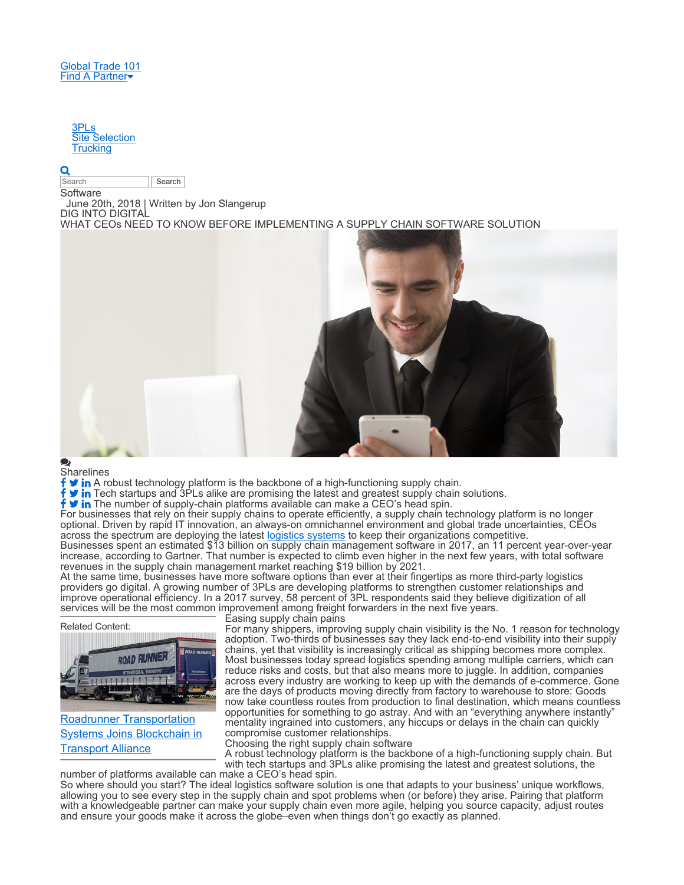## 3PLs Site Selection **Trucking**

## O

Search **Search Search** 

**Software** 

June 20th, 2018 | Written by Jon Slangerup

DIG INTO DIGITAL

WHAT CEOs NEED TO KNOW BEFORE IMPLEMENTING A SUPPLY CHAIN SOFTWARE SOLUTION



**Sharelines** 

A robust technology platform is the backbone of a high-functioning supply chain.

Tech startups and 3PLs alike are promising the latest and greatest supply chain solutions.

f **v** in The number of supply-chain platforms available can make a CEO's head spin.

For businesses that rely on their supply chains to operate efficiently, a supply chain technology platform is no longer optional. Driven by rapid IT innovation, an always-on omnichannel environment and global trade uncertainties, CEOs across the spectrum are deploying the latest logistics systems to keep their organizations competitive.

Businesses spent an estimated \$13 billion on supply chain management software in 2017, an 11 percent year-over-year increase, according to Gartner. That number is expected to climb even higher in the next few years, with total software revenues in the supply chain management market reaching \$19 billion by 2021.

At the same time, businesses have more software options than ever at their fingertips as more third-party logistics providers go digital. A growing number of 3PLs are developing platforms to strengthen customer relationships and improve operational efficiency. In a 2017 survey, 58 percent of 3PL respondents said they believe digitization of all services will be the most common improvement among freight forwarders in the next five years.

Related Content:



Roadrunner Transportation Systems Joins Blockchain in Transport Alliance

Easing supply chain pains

For many shippers, improving supply chain visibility is the No. 1 reason for technology adoption. Two-thirds of businesses say they lack end-to-end visibility into their supply chains, yet that visibility is increasingly critical as shipping becomes more complex. Most businesses today spread logistics spending among multiple carriers, which can reduce risks and costs, but that also means more to juggle. In addition, companies across every industry are working to keep up with the demands of e-commerce. Gone are the days of products moving directly from factory to warehouse to store: Goods now take countless routes from production to final destination, which means countless opportunities for something to go astray. And with an "everything anywhere instantly" mentality ingrained into customers, any hiccups or delays in the chain can quickly compromise customer relationships.

Choosing the right supply chain software

A robust technology platform is the backbone of a high-functioning supply chain. But with tech startups and 3PLs alike promising the latest and greatest solutions, the

number of platforms available can make a CEO's head spin. So where should you start? The ideal logistics software solution is one that adapts to your business' unique workflows, allowing you to see every step in the supply chain and spot problems when (or before) they arise. Pairing that platform with a knowledgeable partner can make your supply chain even more agile, helping you source capacity, adjust routes and ensure your goods make it across the globe–even when things don't go exactly as planned.